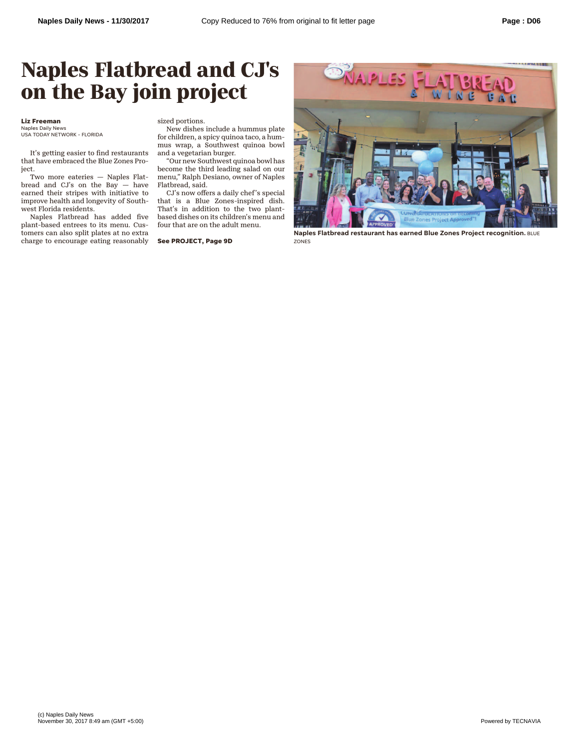## **Naples Flatbread and CJ's on the Bay join project**

## **Liz Freeman**

Naples Daily News USA TODAY NETWORK - FLORIDA

It's getting easier to find restaurants that have embraced the Blue Zones Project.

Two more eateries — Naples Flatbread and CJ's on the Bay — have earned their stripes with initiative to improve health and longevity of Southwest Florida residents.

Naples Flatbread has added five plant-based entrees to its menu. Customers can also split plates at no extra charge to encourage eating reasonably sized portions.

New dishes include a hummus plate for children, a spicy quinoa taco, a hummus wrap, a Southwest quinoa bowl and a vegetarian burger.

"Our new Southwest quinoa bowl has become the third leading salad on our menu," Ralph Desiano, owner of Naples Flatbread, said.

CJ's now offers a daily chef's special that is a Blue Zones-inspired dish. That's in addition to the two plantbased dishes on its children's menu and four that are on the adult menu.

**See PROJECT, Page 9D**



**Naples Flatbread restaurant has earned Blue Zones Project recognition.** BLUE ZONES